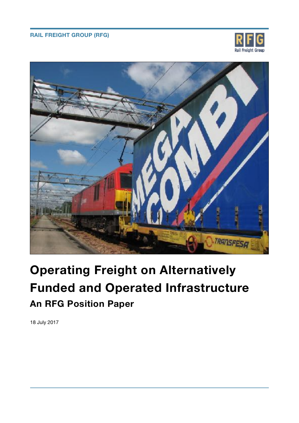## **RAIL FREIGHT GROUP (RFG)**





# **Operating Freight on Alternatively Funded and Operated Infrastructure An RFG Position Paper**

18 July 2017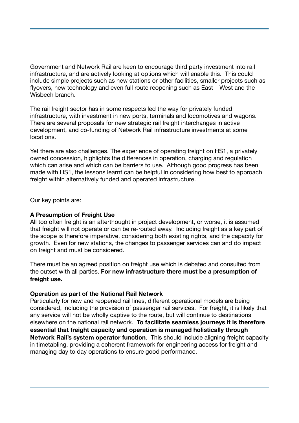Government and Network Rail are keen to encourage third party investment into rail infrastructure, and are actively looking at options which will enable this. This could include simple projects such as new stations or other facilities, smaller projects such as flyovers, new technology and even full route reopening such as East – West and the Wisbech branch.

The rail freight sector has in some respects led the way for privately funded infrastructure, with investment in new ports, terminals and locomotives and wagons. There are several proposals for new strategic rail freight interchanges in active development, and co-funding of Network Rail infrastructure investments at some locations.

Yet there are also challenges. The experience of operating freight on HS1, a privately owned concession, highlights the differences in operation, charging and regulation which can arise and which can be barriers to use. Although good progress has been made with HS1, the lessons learnt can be helpful in considering how best to approach freight within alternatively funded and operated infrastructure.

Our key points are:

#### **A Presumption of Freight Use**

All too often freight is an afterthought in project development, or worse, it is assumed that freight will not operate or can be re-routed away. Including freight as a key part of the scope is therefore imperative, considering both existing rights, and the capacity for growth. Even for new stations, the changes to passenger services can and do impact on freight and must be considered.

There must be an agreed position on freight use which is debated and consulted from the outset with all parties. **For new infrastructure there must be a presumption of freight use.**

#### **Operation as part of the National Rail Network**

Particularly for new and reopened rail lines, different operational models are being considered, including the provision of passenger rail services. For freight, it is likely that any service will not be wholly captive to the route, but will continue to destinations elsewhere on the national rail network. **To facilitate seamless journeys it is therefore essential that freight capacity and operation is managed holistically through Network Rail's system operator function**. This should include aligning freight capacity in timetabling, providing a coherent framework for engineering access for freight and managing day to day operations to ensure good performance.